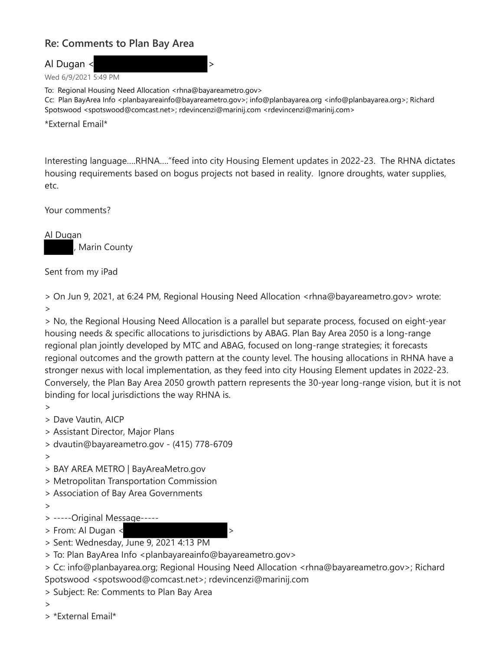## **Re: Comments to Plan Bay Area**

Al Dugan <  $\rightarrow$ 

Wed 6/9/2021 5:49 PM

To: Regional Housing Need Allocation <rhna@bayareametro.gov> Cc: Plan BayArea Info <planbayareainfo@bayareametro.gov>; info@planbayarea.org <info@planbayarea.org>; Richard Spotswood <spotswood@comcast.net>; rdevincenzi@marinij.com <rdevincenzi@marinij.com>

\*External Email\*

Interesting language….RHNA…."feed into city Housing Element updates in 2022-23. The RHNA dictates housing requirements based on bogus projects not based in reality. Ignore droughts, water supplies, etc.

Your comments?

Al Dugan , Marin County

Sent from my iPad

> On Jun 9, 2021, at 6:24 PM, Regional Housing Need Allocation <rhna@bayareametro.gov> wrote: >

> No, the Regional Housing Need Allocation is a parallel but separate process, focused on eight-year housing needs & specific allocations to jurisdictions by ABAG. Plan Bay Area 2050 is a long-range regional plan jointly developed by MTC and ABAG, focused on long-range strategies; it forecasts regional outcomes and the growth pattern at the county level. The housing allocations in RHNA have a stronger nexus with local implementation, as they feed into city Housing Element updates in 2022-23. Conversely, the Plan Bay Area 2050 growth pattern represents the 30-year long-range vision, but it is not binding for local jurisdictions the way RHNA is.

>

- > Dave Vautin, AICP
- > Assistant Director, Major Plans
- > dvautin@bayareametro.gov (415) 778-6709
- >
- > BAY AREA METRO | BayAreaMetro.gov
- > Metropolitan Transportation Commission
- > Association of Bay Area Governments
- >
- > -----Original Message-----
- > From: Al Dugan <  $\rightarrow$
- > Sent: Wednesday, June 9, 2021 4:13 PM
- > To: Plan BayArea Info <planbayareainfo@bayareametro.gov>
- > Cc: info@planbayarea.org; Regional Housing Need Allocation <rhna@bayareametro.gov>; Richard
- Spotswood <spotswood@comcast.net>; rdevincenzi@marinij.com
- > Subject: Re: Comments to Plan Bay Area
- >
- > \*External Email\*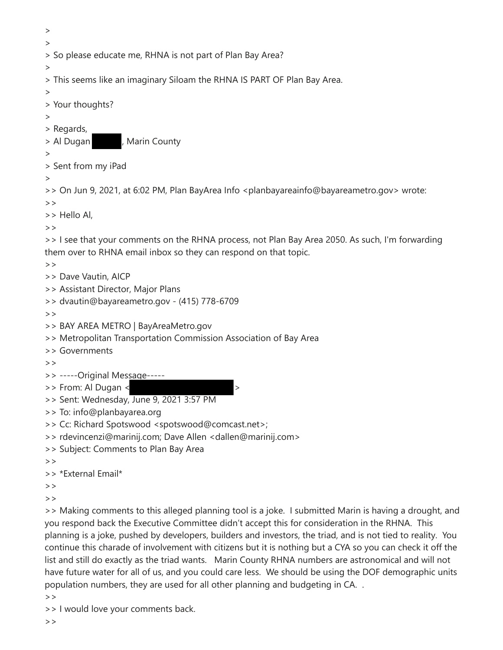> > So please educate me, RHNA is not part of Plan Bay Area? > > This seems like an imaginary Siloam the RHNA IS PART OF Plan Bay Area. > > Your thoughts? > > Regards, > Al Dugan , Marin County > > Sent from my iPad > >> On Jun 9, 2021, at 6:02 PM, Plan BayArea Info <planbayareainfo@bayareametro.gov> wrote: >> >> Hello Al,  $>$ >> I see that your comments on the RHNA process, not Plan Bay Area 2050. As such, I'm forwarding them over to RHNA email inbox so they can respond on that topic.  $>$ >> Dave Vautin, AICP >> Assistant Director, Major Plans >> dvautin@bayareametro.gov - (415) 778-6709  $>$ >> BAY AREA METRO | BayAreaMetro.gov >> Metropolitan Transportation Commission Association of Bay Area >> Governments >> >> -----Original Message----- >> From: Al Dugan <  $\rightarrow$ >> Sent: Wednesday, June 9, 2021 3:57 PM >> To: info@planbayarea.org >> Cc: Richard Spotswood <spotswood@comcast.net>; >> rdevincenzi@marinij.com; Dave Allen <dallen@marinij.com> >> Subject: Comments to Plan Bay Area  $>$ >> \*External Email\*  $>$ >> >> Making comments to this alleged planning tool is a joke. I submitted Marin is having a drought, and

you respond back the Executive Committee didn't accept this for consideration in the RHNA. This planning is a joke, pushed by developers, builders and investors, the triad, and is not tied to reality. You continue this charade of involvement with citizens but it is nothing but a CYA so you can check it off the list and still do exactly as the triad wants. Marin County RHNA numbers are astronomical and will not have future water for all of us, and you could care less. We should be using the DOF demographic units population numbers, they are used for all other planning and budgeting in CA. .

 $>$ 

>

>> I would love your comments back.